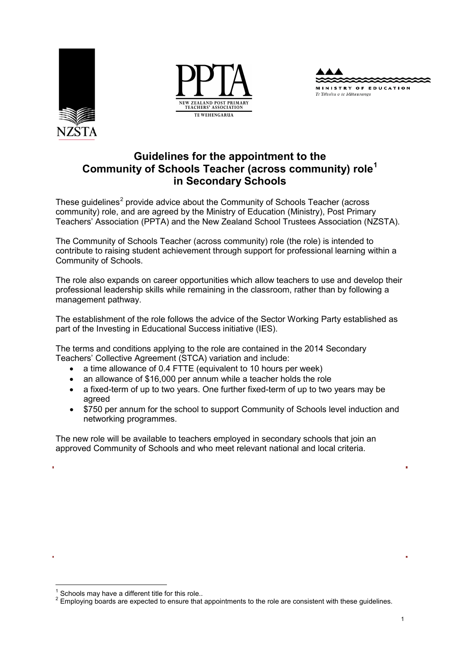





# **Guidelines for the appointment to the Community of Schools Teacher (across community) role[1](#page-0-0) in Secondary Schools**

These quidelines<sup>[2](#page-0-1)</sup> provide advice about the Community of Schools Teacher (across community) role, and are agreed by the Ministry of Education (Ministry), Post Primary Teachers' Association (PPTA) and the New Zealand School Trustees Association (NZSTA).

The Community of Schools Teacher (across community) role (the role) is intended to contribute to raising student achievement through support for professional learning within a Community of Schools.

The role also expands on career opportunities which allow teachers to use and develop their professional leadership skills while remaining in the classroom, rather than by following a management pathway.

The establishment of the role follows the advice of the Sector Working Party established as part of the Investing in Educational Success initiative (IES).

The terms and conditions applying to the role are contained in the 2014 Secondary Teachers' Collective Agreement (STCA) variation and include:

- a time allowance of 0.4 FTTE (equivalent to 10 hours per week)
- an allowance of \$16,000 per annum while a teacher holds the role
- a fixed-term of up to two years. One further fixed-term of up to two years may be agreed
- \$750 per annum for the school to support Community of Schools level induction and networking programmes.

The new role will be available to teachers employed in secondary schools that join an approved Community of Schools and who meet relevant national and local criteria.

<span id="page-0-1"></span><span id="page-0-0"></span> $1$  Schools may have a different title for this role..<br> $2$  Employing boards are expected to ensure that appointments to the role are consistent with these guidelines.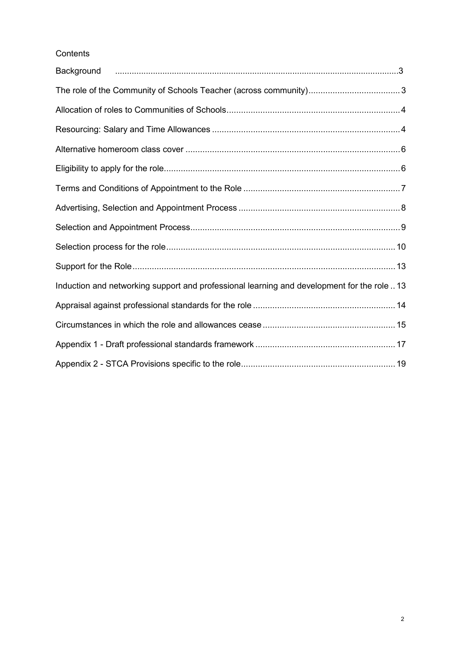# **Contents**

| Background                                                                                  |  |
|---------------------------------------------------------------------------------------------|--|
|                                                                                             |  |
|                                                                                             |  |
|                                                                                             |  |
|                                                                                             |  |
|                                                                                             |  |
|                                                                                             |  |
|                                                                                             |  |
|                                                                                             |  |
|                                                                                             |  |
|                                                                                             |  |
| Induction and networking support and professional learning and development for the role  13 |  |
|                                                                                             |  |
|                                                                                             |  |
|                                                                                             |  |
|                                                                                             |  |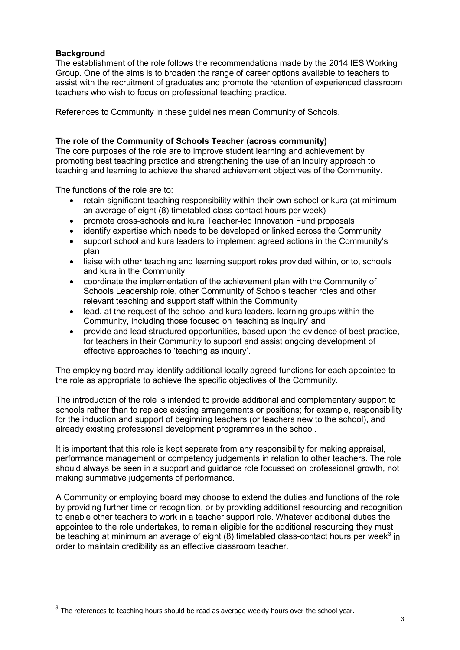# <span id="page-2-0"></span>**Background**

-

The establishment of the role follows the recommendations made by the 2014 IES Working Group. One of the aims is to broaden the range of career options available to teachers to assist with the recruitment of graduates and promote the retention of experienced classroom teachers who wish to focus on professional teaching practice.

References to Community in these guidelines mean Community of Schools.

# <span id="page-2-1"></span>**The role of the Community of Schools Teacher (across community)**

The core purposes of the role are to improve student learning and achievement by promoting best teaching practice and strengthening the use of an inquiry approach to teaching and learning to achieve the shared achievement objectives of the Community.

The functions of the role are to:

- retain significant teaching responsibility within their own school or kura (at minimum an average of eight (8) timetabled class-contact hours per week)
- promote cross-schools and kura Teacher-led Innovation Fund proposals
- identify expertise which needs to be developed or linked across the Community
- support school and kura leaders to implement agreed actions in the Community's plan
- liaise with other teaching and learning support roles provided within, or to, schools and kura in the Community
- coordinate the implementation of the achievement plan with the Community of Schools Leadership role, other Community of Schools teacher roles and other relevant teaching and support staff within the Community
- lead, at the request of the school and kura leaders, learning groups within the Community, including those focused on 'teaching as inquiry' and
- provide and lead structured opportunities, based upon the evidence of best practice, for teachers in their Community to support and assist ongoing development of effective approaches to 'teaching as inquiry'.

The employing board may identify additional locally agreed functions for each appointee to the role as appropriate to achieve the specific objectives of the Community.

The introduction of the role is intended to provide additional and complementary support to schools rather than to replace existing arrangements or positions; for example, responsibility for the induction and support of beginning teachers (or teachers new to the school), and already existing professional development programmes in the school.

It is important that this role is kept separate from any responsibility for making appraisal, performance management or competency judgements in relation to other teachers. The role should always be seen in a support and guidance role focussed on professional growth, not making summative judgements of performance.

A Community or employing board may choose to extend the duties and functions of the role by providing further time or recognition, or by providing additional resourcing and recognition to enable other teachers to work in a teacher support role. Whatever additional duties the appointee to the role undertakes, to remain eligible for the additional resourcing they must be teaching at minimum an average of eight  $(8)$  timetabled class-contact hours per week<sup>[3](#page-2-2)</sup> in order to maintain credibility as an effective classroom teacher.

<span id="page-2-2"></span> $3$  The references to teaching hours should be read as average weekly hours over the school year.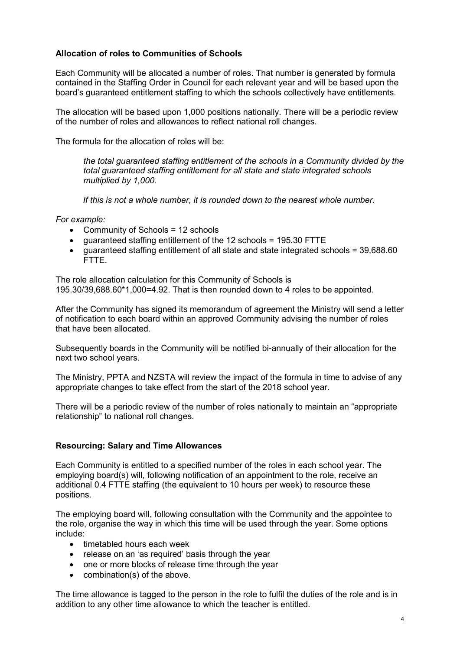# <span id="page-3-0"></span>**Allocation of roles to Communities of Schools**

Each Community will be allocated a number of roles. That number is generated by formula contained in the Staffing Order in Council for each relevant year and will be based upon the board's guaranteed entitlement staffing to which the schools collectively have entitlements.

The allocation will be based upon 1,000 positions nationally. There will be a periodic review of the number of roles and allowances to reflect national roll changes.

The formula for the allocation of roles will be:

*the total guaranteed staffing entitlement of the schools in a Community divided by the total guaranteed staffing entitlement for all state and state integrated schools multiplied by 1,000.* 

*If this is not a whole number, it is rounded down to the nearest whole number.*

*For example:*

- Community of Schools = 12 schools
- guaranteed staffing entitlement of the 12 schools = 195.30 FTTE
- guaranteed staffing entitlement of all state and state integrated schools = 39,688.60 FTTE.

The role allocation calculation for this Community of Schools is 195.30/39,688.60\*1,000=4.92. That is then rounded down to 4 roles to be appointed.

After the Community has signed its memorandum of agreement the Ministry will send a letter of notification to each board within an approved Community advising the number of roles that have been allocated.

Subsequently boards in the Community will be notified bi-annually of their allocation for the next two school years.

The Ministry, PPTA and NZSTA will review the impact of the formula in time to advise of any appropriate changes to take effect from the start of the 2018 school year.

There will be a periodic review of the number of roles nationally to maintain an "appropriate relationship" to national roll changes.

### <span id="page-3-1"></span>**Resourcing: Salary and Time Allowances**

Each Community is entitled to a specified number of the roles in each school year. The employing board(s) will, following notification of an appointment to the role, receive an additional 0.4 FTTE staffing (the equivalent to 10 hours per week) to resource these positions.

The employing board will, following consultation with the Community and the appointee to the role, organise the way in which this time will be used through the year. Some options include:

- timetabled hours each week
- release on an 'as required' basis through the year
- one or more blocks of release time through the year
- combination(s) of the above.

The time allowance is tagged to the person in the role to fulfil the duties of the role and is in addition to any other time allowance to which the teacher is entitled.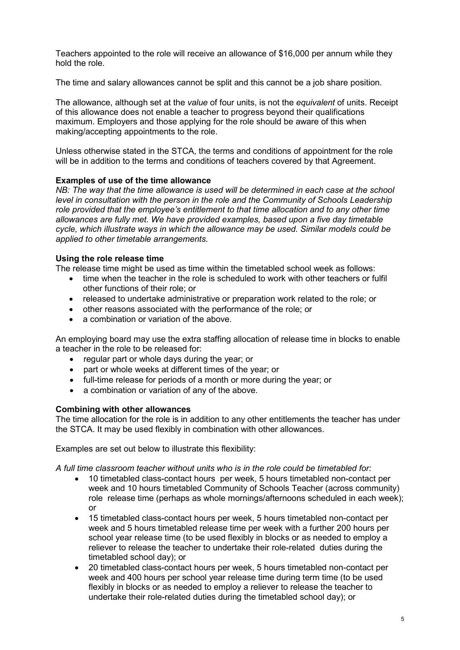Teachers appointed to the role will receive an allowance of \$16,000 per annum while they hold the role.

The time and salary allowances cannot be split and this cannot be a job share position.

The allowance, although set at the *value* of four units, is not the *equivalent* of units. Receipt of this allowance does not enable a teacher to progress beyond their qualifications maximum. Employers and those applying for the role should be aware of this when making/accepting appointments to the role.

Unless otherwise stated in the STCA, the terms and conditions of appointment for the role will be in addition to the terms and conditions of teachers covered by that Agreement.

### **Examples of use of the time allowance**

*NB: The way that the time allowance is used will be determined in each case at the school level in consultation with the person in the role and the Community of Schools Leadership role provided that the employee's entitlement to that time allocation and to any other time allowances are fully met. We have provided examples, based upon a five day timetable cycle, which illustrate ways in which the allowance may be used. Similar models could be applied to other timetable arrangements.*

#### **Using the role release time**

The release time might be used as time within the timetabled school week as follows:

- time when the teacher in the role is scheduled to work with other teachers or fulfil other functions of their role; or
- released to undertake administrative or preparation work related to the role; or
- other reasons associated with the performance of the role; or
- a combination or variation of the above.

An employing board may use the extra staffing allocation of release time in blocks to enable a teacher in the role to be released for:

- regular part or whole days during the year; or
- part or whole weeks at different times of the year; or
- full-time release for periods of a month or more during the year; or
- a combination or variation of any of the above.

#### **Combining with other allowances**

The time allocation for the role is in addition to any other entitlements the teacher has under the STCA. It may be used flexibly in combination with other allowances.

Examples are set out below to illustrate this flexibility:

*A full time classroom teacher without units who is in the role could be timetabled for:*

- 10 timetabled class-contact hours per week, 5 hours timetabled non-contact per week and 10 hours timetabled Community of Schools Teacher (across community) role release time (perhaps as whole mornings/afternoons scheduled in each week); or
- 15 timetabled class-contact hours per week, 5 hours timetabled non-contact per week and 5 hours timetabled release time per week with a further 200 hours per school year release time (to be used flexibly in blocks or as needed to employ a reliever to release the teacher to undertake their role-related duties during the timetabled school day); or
- 20 timetabled class-contact hours per week, 5 hours timetabled non-contact per week and 400 hours per school year release time during term time (to be used flexibly in blocks or as needed to employ a reliever to release the teacher to undertake their role-related duties during the timetabled school day); or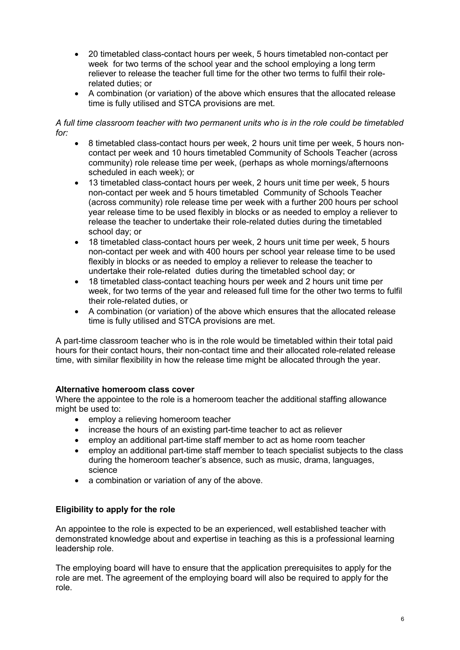- 20 timetabled class-contact hours per week, 5 hours timetabled non-contact per week for two terms of the school year and the school employing a long term reliever to release the teacher full time for the other two terms to fulfil their rolerelated duties; or
- A combination (or variation) of the above which ensures that the allocated release time is fully utilised and STCA provisions are met.

### *A full time classroom teacher with two permanent units who is in the role could be timetabled for:*

- 8 timetabled class-contact hours per week, 2 hours unit time per week, 5 hours noncontact per week and 10 hours timetabled Community of Schools Teacher (across community) role release time per week, (perhaps as whole mornings/afternoons scheduled in each week); or
- 13 timetabled class-contact hours per week, 2 hours unit time per week, 5 hours non-contact per week and 5 hours timetabled Community of Schools Teacher (across community) role release time per week with a further 200 hours per school year release time to be used flexibly in blocks or as needed to employ a reliever to release the teacher to undertake their role-related duties during the timetabled school day; or
- 18 timetabled class-contact hours per week, 2 hours unit time per week, 5 hours non-contact per week and with 400 hours per school year release time to be used flexibly in blocks or as needed to employ a reliever to release the teacher to undertake their role-related duties during the timetabled school day; or
- 18 timetabled class-contact teaching hours per week and 2 hours unit time per week, for two terms of the year and released full time for the other two terms to fulfil their role-related duties, or
- A combination (or variation) of the above which ensures that the allocated release time is fully utilised and STCA provisions are met.

A part-time classroom teacher who is in the role would be timetabled within their total paid hours for their contact hours, their non-contact time and their allocated role-related release time, with similar flexibility in how the release time might be allocated through the year.

# <span id="page-5-0"></span>**Alternative homeroom class cover**

Where the appointee to the role is a homeroom teacher the additional staffing allowance might be used to:

- employ a relieving homeroom teacher
- increase the hours of an existing part-time teacher to act as reliever
- employ an additional part-time staff member to act as home room teacher
- employ an additional part-time staff member to teach specialist subjects to the class during the homeroom teacher's absence, such as music, drama, languages, science
- a combination or variation of any of the above.

### <span id="page-5-1"></span>**Eligibility to apply for the role**

An appointee to the role is expected to be an experienced, well established teacher with demonstrated knowledge about and expertise in teaching as this is a professional learning leadership role.

The employing board will have to ensure that the application prerequisites to apply for the role are met. The agreement of the employing board will also be required to apply for the role.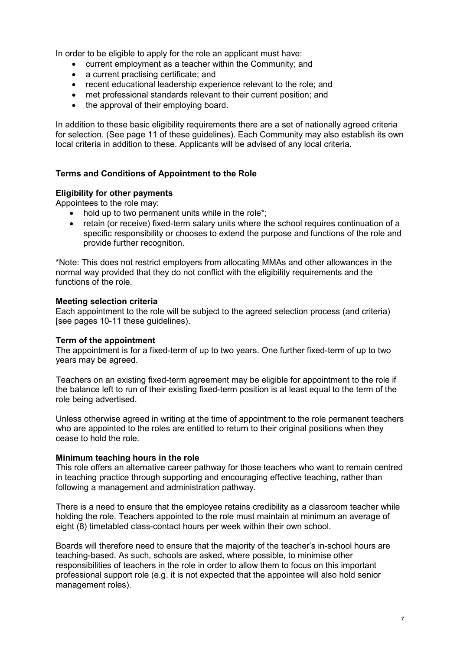In order to be eligible to apply for the role an applicant must have:

- current employment as a teacher within the Community; and
- a current practising certificate; and
- recent educational leadership experience relevant to the role; and
- met professional standards relevant to their current position; and
- the approval of their employing board.

In addition to these basic eligibility requirements there are a set of nationally agreed criteria for selection. (See page 11 of these guidelines). Each Community may also establish its own local criteria in addition to these. Applicants will be advised of any local criteria.

#### <span id="page-6-0"></span>**Terms and Conditions of Appointment to the Role**

#### **Eligibility for other payments**

Appointees to the role may:

- hold up to two permanent units while in the role\*:
- retain (or receive) fixed-term salary units where the school requires continuation of a specific responsibility or chooses to extend the purpose and functions of the role and provide further recognition.

\*Note: This does not restrict employers from allocating MMAs and other allowances in the normal way provided that they do not conflict with the eligibility requirements and the functions of the role.

### **Meeting selection criteria**

Each appointment to the role will be subject to the agreed selection process (and criteria) [see pages 10-11 these guidelines).

#### **Term of the appointment**

The appointment is for a fixed-term of up to two years. One further fixed-term of up to two years may be agreed.

Teachers on an existing fixed-term agreement may be eligible for appointment to the role if the balance left to run of their existing fixed-term position is at least equal to the term of the role being advertised.

Unless otherwise agreed in writing at the time of appointment to the role permanent teachers who are appointed to the roles are entitled to return to their original positions when they cease to hold the role.

#### **Minimum teaching hours in the role**

This role offers an alternative career pathway for those teachers who want to remain centred in teaching practice through supporting and encouraging effective teaching, rather than following a management and administration pathway.

There is a need to ensure that the employee retains credibility as a classroom teacher while holding the role. Teachers appointed to the role must maintain at minimum an average of eight (8) timetabled class-contact hours per week within their own school.

Boards will therefore need to ensure that the majority of the teacher's in-school hours are teaching-based. As such, schools are asked, where possible, to minimise other responsibilities of teachers in the role in order to allow them to focus on this important professional support role (e.g. it is not expected that the appointee will also hold senior management roles).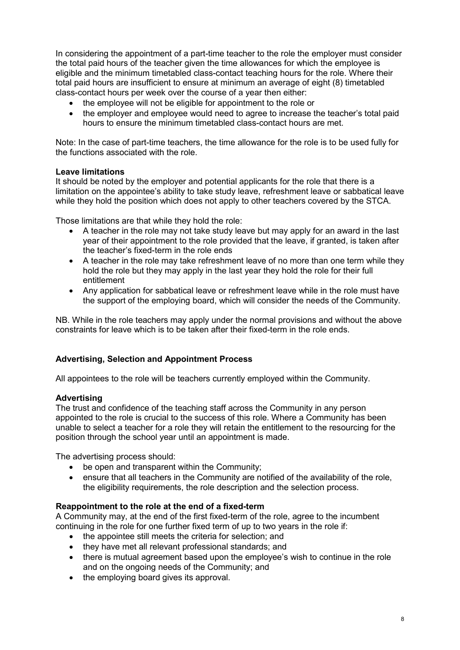In considering the appointment of a part-time teacher to the role the employer must consider the total paid hours of the teacher given the time allowances for which the employee is eligible and the minimum timetabled class-contact teaching hours for the role. Where their total paid hours are insufficient to ensure at minimum an average of eight (8) timetabled class-contact hours per week over the course of a year then either:

- the employee will not be eligible for appointment to the role or
- the employer and employee would need to agree to increase the teacher's total paid hours to ensure the minimum timetabled class-contact hours are met.

Note: In the case of part-time teachers, the time allowance for the role is to be used fully for the functions associated with the role.

### **Leave limitations**

It should be noted by the employer and potential applicants for the role that there is a limitation on the appointee's ability to take study leave, refreshment leave or sabbatical leave while they hold the position which does not apply to other teachers covered by the STCA.

Those limitations are that while they hold the role:

- A teacher in the role may not take study leave but may apply for an award in the last year of their appointment to the role provided that the leave, if granted, is taken after the teacher's fixed-term in the role ends
- A teacher in the role may take refreshment leave of no more than one term while they hold the role but they may apply in the last year they hold the role for their full entitlement
- Any application for sabbatical leave or refreshment leave while in the role must have the support of the employing board, which will consider the needs of the Community.

NB. While in the role teachers may apply under the normal provisions and without the above constraints for leave which is to be taken after their fixed-term in the role ends.

## <span id="page-7-0"></span>**Advertising, Selection and Appointment Process**

All appointees to the role will be teachers currently employed within the Community.

### **Advertising**

The trust and confidence of the teaching staff across the Community in any person appointed to the role is crucial to the success of this role. Where a Community has been unable to select a teacher for a role they will retain the entitlement to the resourcing for the position through the school year until an appointment is made.

The advertising process should:

- be open and transparent within the Community;
- ensure that all teachers in the Community are notified of the availability of the role, the eligibility requirements, the role description and the selection process.

### **Reappointment to the role at the end of a fixed-term**

A Community may, at the end of the first fixed-term of the role, agree to the incumbent continuing in the role for one further fixed term of up to two years in the role if:

- the appointee still meets the criteria for selection; and
- they have met all relevant professional standards; and
- there is mutual agreement based upon the employee's wish to continue in the role and on the ongoing needs of the Community; and
- the employing board gives its approval.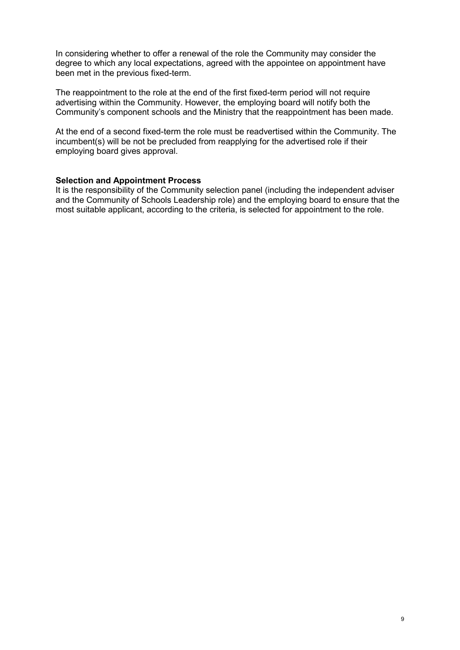In considering whether to offer a renewal of the role the Community may consider the degree to which any local expectations, agreed with the appointee on appointment have been met in the previous fixed-term.

The reappointment to the role at the end of the first fixed-term period will not require advertising within the Community. However, the employing board will notify both the Community's component schools and the Ministry that the reappointment has been made.

At the end of a second fixed-term the role must be readvertised within the Community. The incumbent(s) will be not be precluded from reapplying for the advertised role if their employing board gives approval.

### <span id="page-8-0"></span>**Selection and Appointment Process**

It is the responsibility of the Community selection panel (including the independent adviser and the Community of Schools Leadership role) and the employing board to ensure that the most suitable applicant, according to the criteria, is selected for appointment to the role.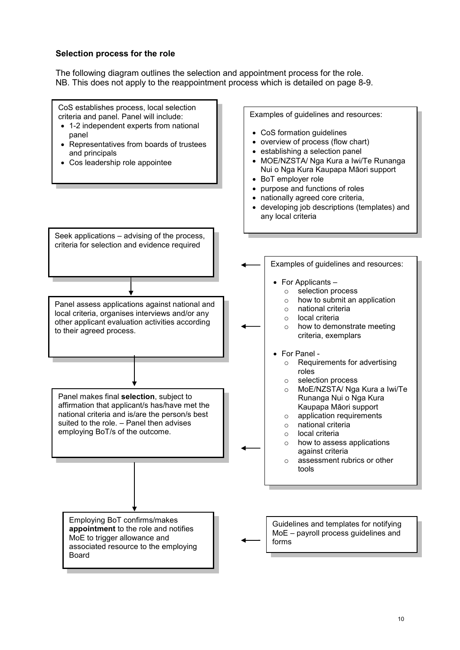### <span id="page-9-0"></span>**Selection process for the role**

The following diagram outlines the selection and appointment process for the role. NB. This does not apply to the reappointment process which is detailed on page 8-9.

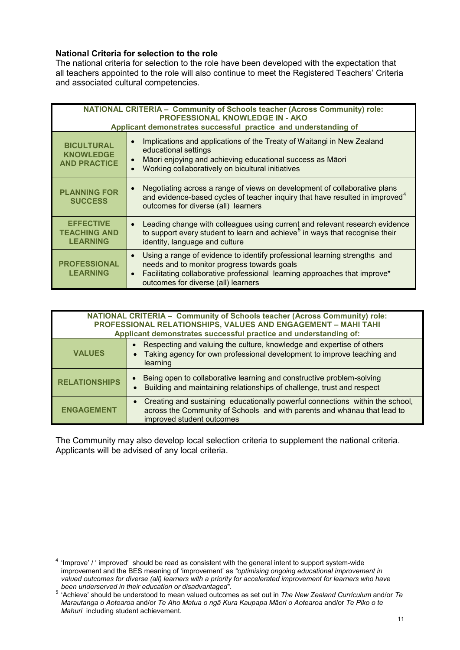# **National Criteria for selection to the role**

The national criteria for selection to the role have been developed with the expectation that all teachers appointed to the role will also continue to meet the Registered Teachers' Criteria and associated cultural competencies.

| <b>NATIONAL CRITERIA - Community of Schools teacher (Across Community) role:</b><br><b>PROFESSIONAL KNOWLEDGE IN - AKO</b><br>Applicant demonstrates successful practice and understanding of |                                                                                                                                                                                                                                                                        |  |
|-----------------------------------------------------------------------------------------------------------------------------------------------------------------------------------------------|------------------------------------------------------------------------------------------------------------------------------------------------------------------------------------------------------------------------------------------------------------------------|--|
| <b>BICULTURAL</b><br><b>KNOWLEDGE</b><br><b>AND PRACTICE</b>                                                                                                                                  | Implications and applications of the Treaty of Waitangi in New Zealand<br>$\bullet$<br>educational settings<br>Māori enjoying and achieving educational success as Māori<br>$\bullet$<br>Working collaboratively on bicultural initiatives<br>$\bullet$                |  |
| <b>PLANNING FOR</b><br><b>SUCCESS</b>                                                                                                                                                         | Negotiating across a range of views on development of collaborative plans<br>$\bullet$<br>and evidence-based cycles of teacher inquiry that have resulted in improved <sup>4</sup><br>outcomes for diverse (all) learners                                              |  |
| <b>EFFECTIVE</b><br><b>TEACHING AND</b><br><b>LEARNING</b>                                                                                                                                    | Leading change with colleagues using current and relevant research evidence<br>$\bullet$<br>to support every student to learn and achieve <sup>5</sup> in ways that recognise their<br>identity, language and culture                                                  |  |
| <b>PROFESSIONAL</b><br><b>LEARNING</b>                                                                                                                                                        | Using a range of evidence to identify professional learning strengths and<br>$\bullet$<br>needs and to monitor progress towards goals<br>Facilitating collaborative professional learning approaches that improve*<br>$\bullet$<br>outcomes for diverse (all) learners |  |

| <b>NATIONAL CRITERIA - Community of Schools teacher (Across Community) role:</b><br>PROFESSIONAL RELATIONSHIPS, VALUES AND ENGAGEMENT - MAHI TAHI<br>Applicant demonstrates successful practice and understanding of: |  |
|-----------------------------------------------------------------------------------------------------------------------------------------------------------------------------------------------------------------------|--|
|                                                                                                                                                                                                                       |  |
| Respecting and valuing the culture, knowledge and expertise of others<br>Taking agency for own professional development to improve teaching and<br><b>VALUES</b><br>learning                                          |  |
| Being open to collaborative learning and constructive problem-solving<br><b>RELATIONSHIPS</b><br>Building and maintaining relationships of challenge, trust and respect                                               |  |
| Creating and sustaining educationally powerful connections within the school,<br>across the Community of Schools and with parents and whanau that lead to<br><b>ENGAGEMENT</b><br>improved student outcomes           |  |

The Community may also develop local selection criteria to supplement the national criteria. Applicants will be advised of any local criteria.

-

<span id="page-10-0"></span> $4$  'Improve' / ' improved' should be read as consistent with the general intent to support system-wide improvement and the BES meaning of 'improvement' as *"optimising ongoing educational improvement in valued outcomes for diverse (all) learners with a priority for accelerated improvement for learners who have* 

<span id="page-10-1"></span>*been underserved in their education or disadvantaged".* <sup>5</sup> 'Achieve' should be understood to mean valued outcomes as set out in *The New Zealand Curriculum* and/or *Te Marautanga o Aotearoa* and/or *Te Aho Matua o ngā Kura Kaupapa Māori o Aotearoa* and/or *Te Piko o te Mahuri* including student achievement.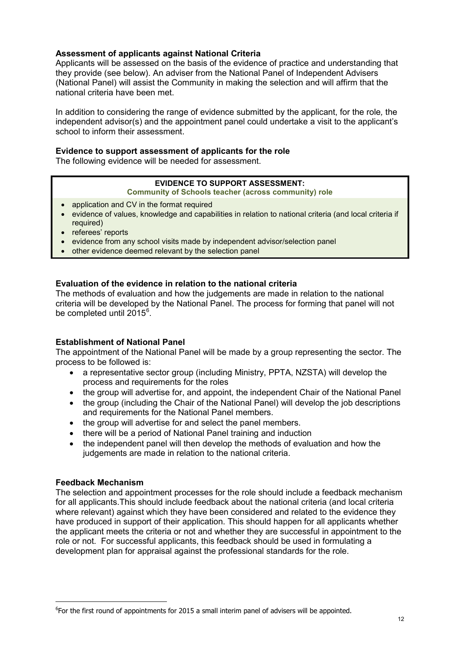# **Assessment of applicants against National Criteria**

Applicants will be assessed on the basis of the evidence of practice and understanding that they provide (see below). An adviser from the National Panel of Independent Advisers (National Panel) will assist the Community in making the selection and will affirm that the national criteria have been met.

In addition to considering the range of evidence submitted by the applicant, for the role*,* the independent advisor(s) and the appointment panel could undertake a visit to the applicant's school to inform their assessment.

### **Evidence to support assessment of applicants for the role**

The following evidence will be needed for assessment.

### **EVIDENCE TO SUPPORT ASSESSMENT:**

**Community of Schools teacher (across community) role**

- application and CV in the format required
- evidence of values, knowledge and capabilities in relation to national criteria (and local criteria if required)
- referees' reports
- evidence from any school visits made by independent advisor/selection panel
- other evidence deemed relevant by the selection panel

### **Evaluation of the evidence in relation to the national criteria**

The methods of evaluation and how the judgements are made in relation to the national criteria will be developed by the National Panel. The process for forming that panel will not be completed until 2015<sup>[6](#page-11-0)</sup>.

### **Establishment of National Panel**

The appointment of the National Panel will be made by a group representing the sector. The process to be followed is:

- a representative sector group (including Ministry, PPTA, NZSTA) will develop the process and requirements for the roles
- the group will advertise for, and appoint, the independent Chair of the National Panel
- the group (including the Chair of the National Panel) will develop the job descriptions and requirements for the National Panel members.
- the group will advertise for and select the panel members.
- there will be a period of National Panel training and induction
- the independent panel will then develop the methods of evaluation and how the judgements are made in relation to the national criteria.

### **Feedback Mechanism**

-

The selection and appointment processes for the role should include a feedback mechanism for all applicants.This should include feedback about the national criteria (and local criteria where relevant) against which they have been considered and related to the evidence they have produced in support of their application. This should happen for all applicants whether the applicant meets the criteria or not and whether they are successful in appointment to the role or not. For successful applicants, this feedback should be used in formulating a development plan for appraisal against the professional standards for the role.

<span id="page-11-0"></span><sup>&</sup>lt;sup>6</sup>For the first round of appointments for 2015 a small interim panel of advisers will be appointed.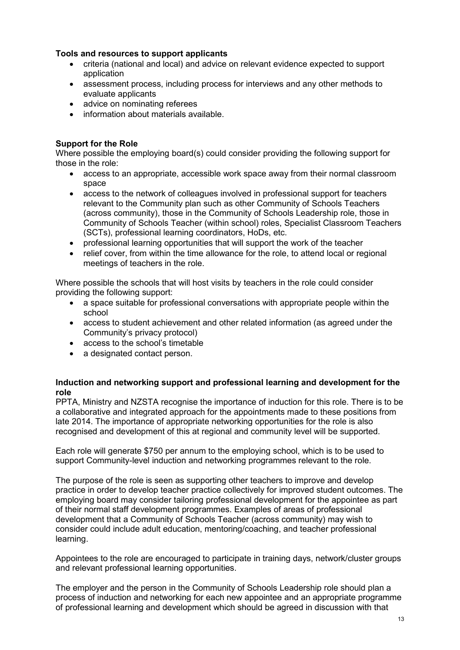# **Tools and resources to support applicants**

- criteria (national and local) and advice on relevant evidence expected to support application
- assessment process, including process for interviews and any other methods to evaluate applicants
- advice on nominating referees
- information about materials available.

# <span id="page-12-0"></span>**Support for the Role**

Where possible the employing board(s) could consider providing the following support for those in the role:

- access to an appropriate, accessible work space away from their normal classroom space
- access to the network of colleagues involved in professional support for teachers relevant to the Community plan such as other Community of Schools Teachers (across community), those in the Community of Schools Leadership role, those in Community of Schools Teacher (within school) roles, Specialist Classroom Teachers (SCTs), professional learning coordinators, HoDs, etc.
- professional learning opportunities that will support the work of the teacher
- relief cover, from within the time allowance for the role, to attend local or regional meetings of teachers in the role.

Where possible the schools that will host visits by teachers in the role could consider providing the following support:

- a space suitable for professional conversations with appropriate people within the school
- access to student achievement and other related information (as agreed under the Community's privacy protocol)
- access to the school's timetable
- a designated contact person.

### <span id="page-12-1"></span>**Induction and networking support and professional learning and development for the role**

PPTA, Ministry and NZSTA recognise the importance of induction for this role. There is to be a collaborative and integrated approach for the appointments made to these positions from late 2014. The importance of appropriate networking opportunities for the role is also recognised and development of this at regional and community level will be supported.

Each role will generate \$750 per annum to the employing school, which is to be used to support Community-level induction and networking programmes relevant to the role.

The purpose of the role is seen as supporting other teachers to improve and develop practice in order to develop teacher practice collectively for improved student outcomes. The employing board may consider tailoring professional development for the appointee as part of their normal staff development programmes. Examples of areas of professional development that a Community of Schools Teacher (across community) may wish to consider could include adult education, mentoring/coaching, and teacher professional learning.

Appointees to the role are encouraged to participate in training days, network/cluster groups and relevant professional learning opportunities.

The employer and the person in the Community of Schools Leadership role should plan a process of induction and networking for each new appointee and an appropriate programme of professional learning and development which should be agreed in discussion with that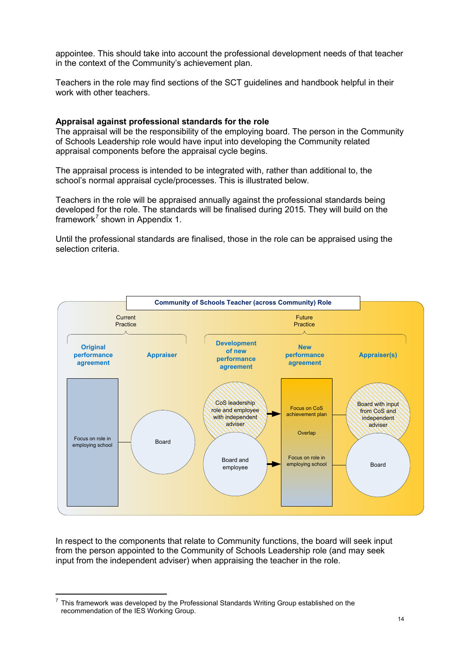appointee. This should take into account the professional development needs of that teacher in the context of the Community's achievement plan.

Teachers in the role may find sections of the SCT guidelines and handbook helpful in their work with other teachers.

#### <span id="page-13-0"></span>**Appraisal against professional standards for the role**

The appraisal will be the responsibility of the employing board. The person in the Community of Schools Leadership role would have input into developing the Community related appraisal components before the appraisal cycle begins.

The appraisal process is intended to be integrated with, rather than additional to, the school's normal appraisal cycle/processes. This is illustrated below.

Teachers in the role will be appraised annually against the professional standards being developed for the role. The standards will be finalised during 2015. They will build on the framework<sup>[7](#page-13-1)</sup> shown in Appendix 1.

Until the professional standards are finalised, those in the role can be appraised using the selection criteria.



In respect to the components that relate to Community functions, the board will seek input from the person appointed to the Community of Schools Leadership role (and may seek input from the independent adviser) when appraising the teacher in the role.

-

<span id="page-13-1"></span> $7$  This framework was developed by the Professional Standards Writing Group established on the recommendation of the IES Working Group.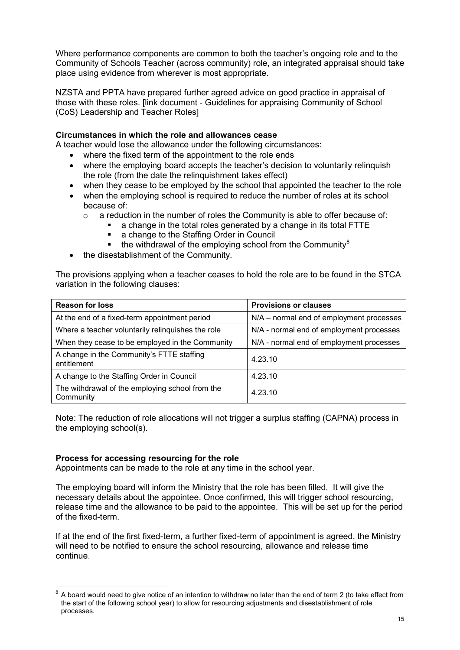Where performance components are common to both the teacher's ongoing role and to the Community of Schools Teacher (across community) role, an integrated appraisal should take place using evidence from wherever is most appropriate.

NZSTA and PPTA have prepared further agreed advice on good practice in appraisal of those with these roles. [link document - Guidelines for appraising Community of School (CoS) Leadership and Teacher Roles]

# <span id="page-14-0"></span>**Circumstances in which the role and allowances cease**

A teacher would lose the allowance under the following circumstances:

- where the fixed term of the appointment to the role ends
- where the employing board accepts the teacher's decision to voluntarily relinquish the role (from the date the relinquishment takes effect)
- when they cease to be employed by the school that appointed the teacher to the role
- when the employing school is required to reduce the number of roles at its school because of:
	- o a reduction in the number of roles the Community is able to offer because of:
		- a change in the total roles generated by a change in its total FTTE<br>a change to the Staffing Order in Council
			- a change to the Staffing Order in Council
			- **the withdrawal of the employing school from the Community**<sup>[8](#page-14-1)</sup>
- the disestablishment of the Community.

The provisions applying when a teacher ceases to hold the role are to be found in the STCA variation in the following clauses:

| <b>Reason for loss</b>                                       | <b>Provisions or clauses</b>             |
|--------------------------------------------------------------|------------------------------------------|
| At the end of a fixed-term appointment period                | N/A – normal end of employment processes |
| Where a teacher voluntarily relinquishes the role            | N/A - normal end of employment processes |
| When they cease to be employed in the Community              | N/A - normal end of employment processes |
| A change in the Community's FTTE staffing<br>entitlement     | 4.23.10                                  |
| A change to the Staffing Order in Council                    | 4.23.10                                  |
| The withdrawal of the employing school from the<br>Community | 4.23.10                                  |

Note: The reduction of role allocations will not trigger a surplus staffing (CAPNA) process in the employing school(s).

### **Process for accessing resourcing for the role**

Appointments can be made to the role at any time in the school year.

The employing board will inform the Ministry that the role has been filled. It will give the necessary details about the appointee. Once confirmed, this will trigger school resourcing, release time and the allowance to be paid to the appointee. This will be set up for the period of the fixed-term.

If at the end of the first fixed-term, a further fixed-term of appointment is agreed, the Ministry will need to be notified to ensure the school resourcing, allowance and release time continue.

<span id="page-14-1"></span> $8$  A board would need to give notice of an intention to withdraw no later than the end of term 2 (to take effect from the start of the following school year) to allow for resourcing adjustments and disestablishment of role processes. -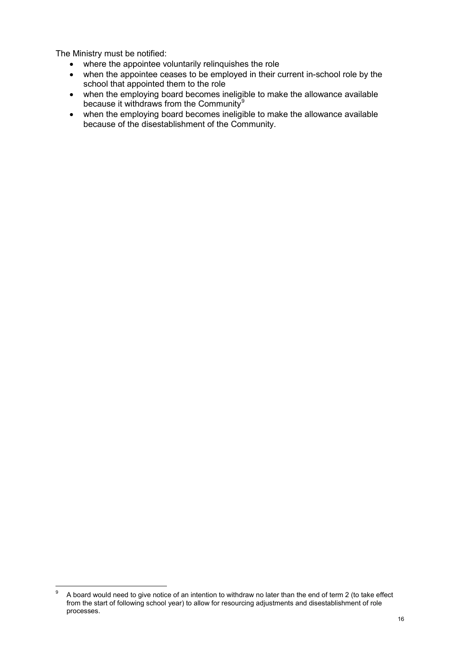The Ministry must be notified:

- where the appointee voluntarily relinquishes the role
- when the appointee ceases to be employed in their current in-school role by the school that appointed them to the role
- when the employing board becomes ineligible to make the allowance available because it withdraws from the Community<sup>[9](#page-15-0)</sup>
- when the employing board becomes ineligible to make the allowance available because of the disestablishment of the Community.

<span id="page-15-0"></span><sup>–&</sup>lt;br>9 A board would need to give notice of an intention to withdraw no later than the end of term 2 (to take effect from the start of following school year) to allow for resourcing adjustments and disestablishment of role processes.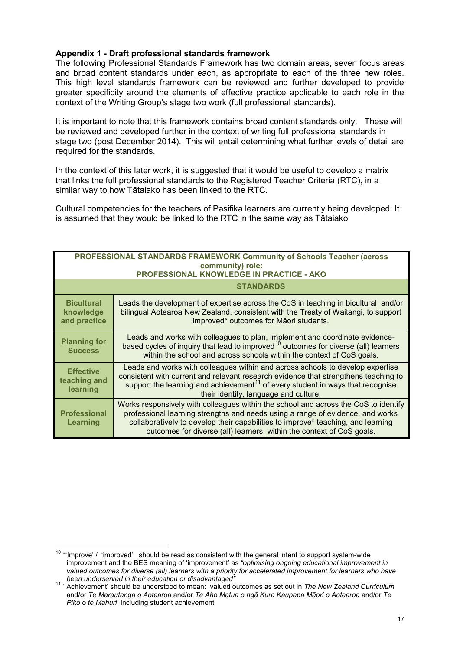### <span id="page-16-0"></span>**Appendix 1 - Draft professional standards framework**

The following Professional Standards Framework has two domain areas, seven focus areas and broad content standards under each, as appropriate to each of the three new roles. This high level standards framework can be reviewed and further developed to provide greater specificity around the elements of effective practice applicable to each role in the context of the Writing Group's stage two work (full professional standards).

It is important to note that this framework contains broad content standards only. These will be reviewed and developed further in the context of writing full professional standards in stage two (post December 2014). This will entail determining what further levels of detail are required for the standards.

In the context of this later work, it is suggested that it would be useful to develop a matrix that links the full professional standards to the Registered Teacher Criteria (RTC), in a similar way to how Tātaiako has been linked to the RTC.

Cultural competencies for the teachers of Pasifika learners are currently being developed. It is assumed that they would be linked to the RTC in the same way as Tātaiako.

| <b>PROFESSIONAL STANDARDS FRAMEWORK Community of Schools Teacher (across</b><br>community) role:<br>PROFESSIONAL KNOWLEDGE IN PRACTICE - AKO |                                                                                                                                                                                                                                                                                                                                    |  |
|----------------------------------------------------------------------------------------------------------------------------------------------|------------------------------------------------------------------------------------------------------------------------------------------------------------------------------------------------------------------------------------------------------------------------------------------------------------------------------------|--|
|                                                                                                                                              | <b>STANDARDS</b>                                                                                                                                                                                                                                                                                                                   |  |
| <b>Bicultural</b><br>knowledge<br>and practice                                                                                               | Leads the development of expertise across the CoS in teaching in bicultural and/or<br>bilingual Aotearoa New Zealand, consistent with the Treaty of Waitangi, to support<br>improved* outcomes for Māori students.                                                                                                                 |  |
| <b>Planning for</b><br><b>Success</b>                                                                                                        | Leads and works with colleagues to plan, implement and coordinate evidence-<br>based cycles of inquiry that lead to improved <sup>10</sup> outcomes for diverse (all) learners<br>within the school and across schools within the context of CoS goals.                                                                            |  |
| <b>Effective</b><br>teaching and<br>learning                                                                                                 | Leads and works with colleagues within and across schools to develop expertise<br>consistent with current and relevant research evidence that strengthens teaching to<br>support the learning and achievement <sup>11</sup> of every student in ways that recognise<br>their identity, language and culture.                       |  |
| <b>Professional</b><br><b>Learning</b>                                                                                                       | Works responsively with colleagues within the school and across the CoS to identify<br>professional learning strengths and needs using a range of evidence, and works<br>collaboratively to develop their capabilities to improve* teaching, and learning<br>outcomes for diverse (all) learners, within the context of CoS goals. |  |

<span id="page-16-1"></span> $10$  \*'Improve' / 'improved' should be read as consistent with the general intent to support system-wide improvement and the BES meaning of 'improvement' as *"optimising ongoing educational improvement in valued outcomes for diverse (all) learners with a priority for accelerated improvement for learners who have*  -

<span id="page-16-2"></span>*been underserved in their education or disadvantaged"* 11 ' Achievement' should be understood to mean: valued outcomes as set out in *The New Zealand Curriculum* and/or *Te Marautanga o Aotearoa* and/or *Te Aho Matua o ngā Kura Kaupapa Māori o Aotearoa* and/or *Te Piko o te Mahuri* including student achievement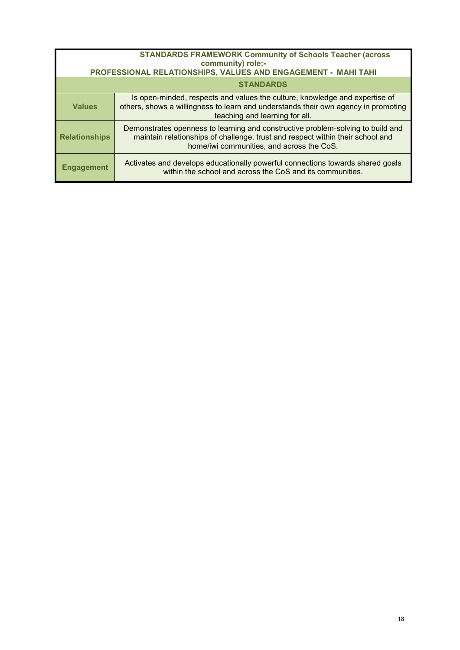| <b>STANDARDS FRAMEWORK Community of Schools Teacher (across</b><br>community) role:-<br>PROFESSIONAL RELATIONSHIPS, VALUES AND ENGAGEMENT - MAHI TAHI |                                                                                                                                                                                                                |  |
|-------------------------------------------------------------------------------------------------------------------------------------------------------|----------------------------------------------------------------------------------------------------------------------------------------------------------------------------------------------------------------|--|
|                                                                                                                                                       | <b>STANDARDS</b>                                                                                                                                                                                               |  |
| <b>Values</b>                                                                                                                                         | Is open-minded, respects and values the culture, knowledge and expertise of<br>others, shows a willingness to learn and understands their own agency in promoting<br>teaching and learning for all.            |  |
| <b>Relationships</b>                                                                                                                                  | Demonstrates openness to learning and constructive problem-solving to build and<br>maintain relationships of challenge, trust and respect within their school and<br>home/iwi communities, and across the CoS. |  |
| <b>Engagement</b>                                                                                                                                     | Activates and develops educationally powerful connections towards shared goals<br>within the school and across the CoS and its communities.                                                                    |  |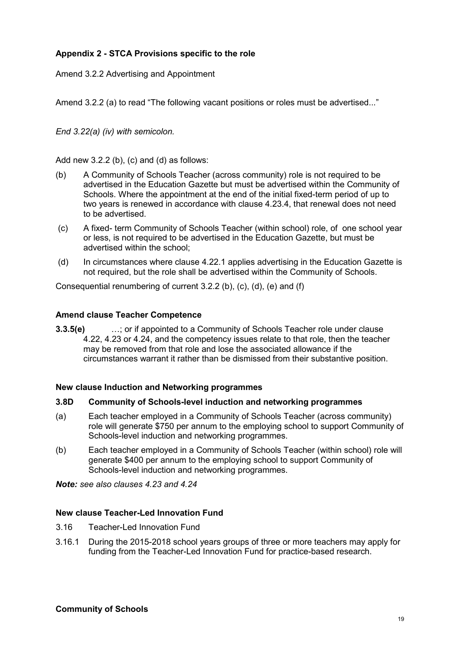# <span id="page-18-0"></span>**Appendix 2 - STCA Provisions specific to the role**

Amend 3.2.2 Advertising and Appointment

Amend 3.2.2 (a) to read "The following vacant positions or roles must be advertised..."

*End 3.22(a) (iv) with semicolon.*

Add new 3.2.2 (b), (c) and (d) as follows:

- (b) A Community of Schools Teacher (across community) role is not required to be advertised in the Education Gazette but must be advertised within the Community of Schools. Where the appointment at the end of the initial fixed-term period of up to two years is renewed in accordance with clause 4.23.4, that renewal does not need to be advertised.
- (c) A fixed- term Community of Schools Teacher (within school) role, of one school year or less, is not required to be advertised in the Education Gazette, but must be advertised within the school;
- (d) In circumstances where clause 4.22.1 applies advertising in the Education Gazette is not required, but the role shall be advertised within the Community of Schools.

Consequential renumbering of current 3.2.2 (b), (c), (d), (e) and (f)

#### **Amend clause Teacher Competence**

**3.3.5(e)** …; or if appointed to a Community of Schools Teacher role under clause 4.22, 4.23 or 4.24, and the competency issues relate to that role, then the teacher may be removed from that role and lose the associated allowance if the circumstances warrant it rather than be dismissed from their substantive position.

#### **New clause Induction and Networking programmes**

### **3.8D Community of Schools-level induction and networking programmes**

- (a) Each teacher employed in a Community of Schools Teacher (across community) role will generate \$750 per annum to the employing school to support Community of Schools-level induction and networking programmes.
- (b) Each teacher employed in a Community of Schools Teacher (within school) role will generate \$400 per annum to the employing school to support Community of Schools-level induction and networking programmes.

*Note: see also clauses 4.23 and 4.24*

#### **New clause Teacher-Led Innovation Fund**

- 3.16 Teacher-Led Innovation Fund
- 3.16.1 During the 2015-2018 school years groups of three or more teachers may apply for funding from the Teacher-Led Innovation Fund for practice-based research.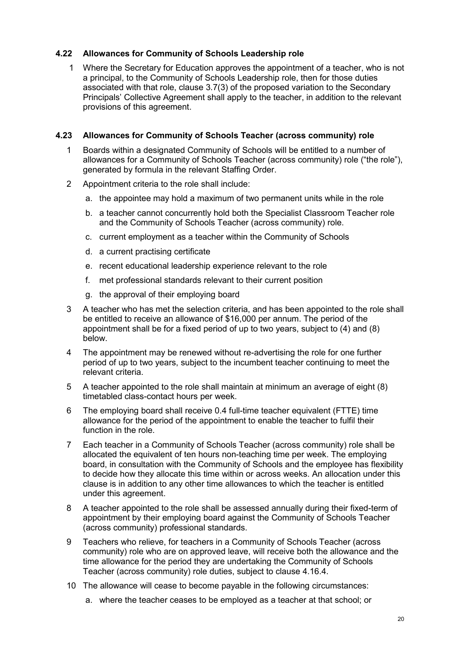## **4.22 Allowances for Community of Schools Leadership role**

1 Where the Secretary for Education approves the appointment of a teacher, who is not a principal, to the Community of Schools Leadership role, then for those duties associated with that role, clause 3.7(3) of the proposed variation to the Secondary Principals' Collective Agreement shall apply to the teacher, in addition to the relevant provisions of this agreement.

### **4.23 Allowances for Community of Schools Teacher (across community) role**

- 1 Boards within a designated Community of Schools will be entitled to a number of allowances for a Community of Schools Teacher (across community) role ("the role"), generated by formula in the relevant Staffing Order.
- 2 Appointment criteria to the role shall include:
	- a. the appointee may hold a maximum of two permanent units while in the role
	- b. a teacher cannot concurrently hold both the Specialist Classroom Teacher role and the Community of Schools Teacher (across community) role.
	- c. current employment as a teacher within the Community of Schools
	- d. a current practising certificate
	- e. recent educational leadership experience relevant to the role
	- f. met professional standards relevant to their current position
	- g. the approval of their employing board
- 3 A teacher who has met the selection criteria, and has been appointed to the role shall be entitled to receive an allowance of \$16,000 per annum. The period of the appointment shall be for a fixed period of up to two years, subject to (4) and (8) below.
- 4 The appointment may be renewed without re-advertising the role for one further period of up to two years, subject to the incumbent teacher continuing to meet the relevant criteria.
- 5 A teacher appointed to the role shall maintain at minimum an average of eight (8) timetabled class-contact hours per week.
- 6 The employing board shall receive 0.4 full-time teacher equivalent (FTTE) time allowance for the period of the appointment to enable the teacher to fulfil their function in the role.
- 7 Each teacher in a Community of Schools Teacher (across community) role shall be allocated the equivalent of ten hours non-teaching time per week. The employing board, in consultation with the Community of Schools and the employee has flexibility to decide how they allocate this time within or across weeks. An allocation under this clause is in addition to any other time allowances to which the teacher is entitled under this agreement.
- 8 A teacher appointed to the role shall be assessed annually during their fixed-term of appointment by their employing board against the Community of Schools Teacher (across community) professional standards.
- 9 Teachers who relieve, for teachers in a Community of Schools Teacher (across community) role who are on approved leave, will receive both the allowance and the time allowance for the period they are undertaking the Community of Schools Teacher (across community) role duties, subject to clause 4.16.4.
- 10 The allowance will cease to become payable in the following circumstances:
	- a. where the teacher ceases to be employed as a teacher at that school; or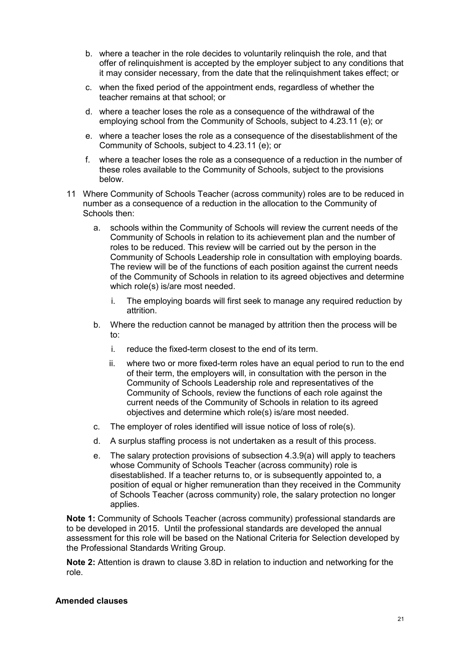- b. where a teacher in the role decides to voluntarily relinquish the role, and that offer of relinquishment is accepted by the employer subject to any conditions that it may consider necessary, from the date that the relinquishment takes effect; or
- c. when the fixed period of the appointment ends, regardless of whether the teacher remains at that school; or
- d. where a teacher loses the role as a consequence of the withdrawal of the employing school from the Community of Schools, subject to 4.23.11 (e); or
- e. where a teacher loses the role as a consequence of the disestablishment of the Community of Schools, subject to 4.23.11 (e); or
- f. where a teacher loses the role as a consequence of a reduction in the number of these roles available to the Community of Schools, subject to the provisions below.
- 11 Where Community of Schools Teacher (across community) roles are to be reduced in number as a consequence of a reduction in the allocation to the Community of Schools then:
	- a. schools within the Community of Schools will review the current needs of the Community of Schools in relation to its achievement plan and the number of roles to be reduced. This review will be carried out by the person in the Community of Schools Leadership role in consultation with employing boards. The review will be of the functions of each position against the current needs of the Community of Schools in relation to its agreed objectives and determine which role(s) is/are most needed.
		- i. The employing boards will first seek to manage any required reduction by attrition.
	- b. Where the reduction cannot be managed by attrition then the process will be to:
		- i. reduce the fixed-term closest to the end of its term.
		- ii. where two or more fixed-term roles have an equal period to run to the end of their term, the employers will, in consultation with the person in the Community of Schools Leadership role and representatives of the Community of Schools, review the functions of each role against the current needs of the Community of Schools in relation to its agreed objectives and determine which role(s) is/are most needed.
	- c. The employer of roles identified will issue notice of loss of role(s).
	- d. A surplus staffing process is not undertaken as a result of this process.
	- e. The salary protection provisions of subsection 4.3.9(a) will apply to teachers whose Community of Schools Teacher (across community) role is disestablished. If a teacher returns to, or is subsequently appointed to, a position of equal or higher remuneration than they received in the Community of Schools Teacher (across community) role, the salary protection no longer applies.

**Note 1:** Community of Schools Teacher (across community) professional standards are to be developed in 2015. Until the professional standards are developed the annual assessment for this role will be based on the National Criteria for Selection developed by the Professional Standards Writing Group.

**Note 2:** Attention is drawn to clause 3.8D in relation to induction and networking for the role.

#### **Amended clauses**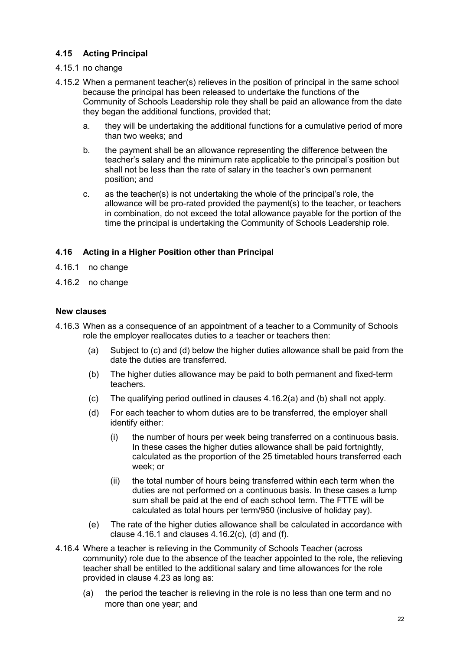# **4.15 Acting Principal**

# 4.15.1 no change

- 4.15.2 When a permanent teacher(s) relieves in the position of principal in the same school because the principal has been released to undertake the functions of the Community of Schools Leadership role they shall be paid an allowance from the date they began the additional functions, provided that;
	- a. they will be undertaking the additional functions for a cumulative period of more than two weeks; and
	- b. the payment shall be an allowance representing the difference between the teacher's salary and the minimum rate applicable to the principal's position but shall not be less than the rate of salary in the teacher's own permanent position; and
	- c. as the teacher(s) is not undertaking the whole of the principal's role, the allowance will be pro-rated provided the payment(s) to the teacher, or teachers in combination, do not exceed the total allowance payable for the portion of the time the principal is undertaking the Community of Schools Leadership role.

# **4.16 Acting in a Higher Position other than Principal**

- 4.16.1 no change
- 4.16.2 no change

### **New clauses**

- 4.16.3 When as a consequence of an appointment of a teacher to a Community of Schools role the employer reallocates duties to a teacher or teachers then:
	- (a) Subject to (c) and (d) below the higher duties allowance shall be paid from the date the duties are transferred.
	- (b) The higher duties allowance may be paid to both permanent and fixed-term teachers.
	- (c) The qualifying period outlined in clauses 4.16.2(a) and (b) shall not apply.
	- (d) For each teacher to whom duties are to be transferred, the employer shall identify either:
		- (i) the number of hours per week being transferred on a continuous basis. In these cases the higher duties allowance shall be paid fortnightly, calculated as the proportion of the 25 timetabled hours transferred each week; or
		- (ii) the total number of hours being transferred within each term when the duties are not performed on a continuous basis. In these cases a lump sum shall be paid at the end of each school term. The FTTE will be calculated as total hours per term/950 (inclusive of holiday pay).
	- (e) The rate of the higher duties allowance shall be calculated in accordance with clause  $4.16.1$  and clauses  $4.16.2(c)$ , (d) and (f).
- 4.16.4 Where a teacher is relieving in the Community of Schools Teacher (across community) role due to the absence of the teacher appointed to the role, the relieving teacher shall be entitled to the additional salary and time allowances for the role provided in clause 4.23 as long as:
	- (a) the period the teacher is relieving in the role is no less than one term and no more than one year; and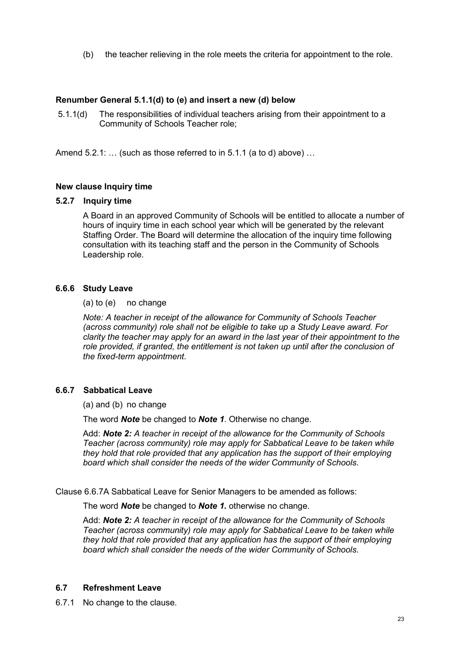(b) the teacher relieving in the role meets the criteria for appointment to the role.

### **Renumber General 5.1.1(d) to (e) and insert a new (d) below**

5.1.1(d) The responsibilities of individual teachers arising from their appointment to a Community of Schools Teacher role;

Amend 5.2.1: ... (such as those referred to in 5.1.1 (a to d) above) ...

# **New clause Inquiry time**

### **5.2.7 Inquiry time**

A Board in an approved Community of Schools will be entitled to allocate a number of hours of inquiry time in each school year which will be generated by the relevant Staffing Order. The Board will determine the allocation of the inquiry time following consultation with its teaching staff and the person in the Community of Schools Leadership role.

# **6.6.6 Study Leave**

### (a) to (e) no change

*Note: A teacher in receipt of the allowance for Community of Schools Teacher (across community) role shall not be eligible to take up a Study Leave award. For clarity the teacher may apply for an award in the last year of their appointment to the role provided, if granted, the entitlement is not taken up until after the conclusion of the fixed-term appointment.*

### **6.6.7 Sabbatical Leave**

(a) and (b) no change

The word *Note* be changed to *Note 1*. Otherwise no change.

Add: *Note 2: A teacher in receipt of the allowance for the Community of Schools Teacher (across community) role may apply for Sabbatical Leave to be taken while they hold that role provided that any application has the support of their employing board which shall consider the needs of the wider Community of Schools*.

Clause 6.6.7A Sabbatical Leave for Senior Managers to be amended as follows:

The word *Note* be changed to *Note 1.* otherwise no change.

Add: *Note 2: A teacher in receipt of the allowance for the Community of Schools Teacher (across community) role may apply for Sabbatical Leave to be taken while they hold that role provided that any application has the support of their employing board which shall consider the needs of the wider Community of Schools.*

### **6.7 Refreshment Leave**

6.7.1 No change to the clause.